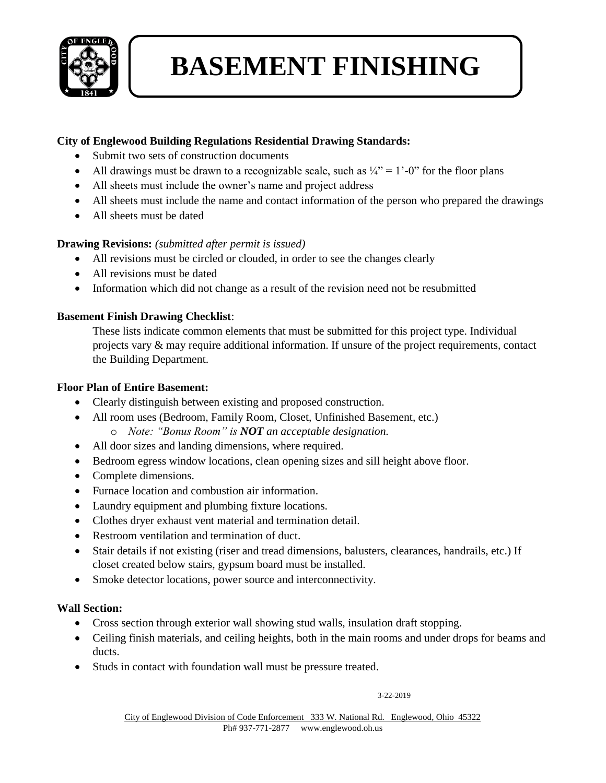

# **BASEMENT FINISHING**

### **City of Englewood Building Regulations Residential Drawing Standards:**

- Submit two sets of construction documents
- All drawings must be drawn to a recognizable scale, such as  $\frac{1}{4}$ " = 1'-0" for the floor plans
- All sheets must include the owner's name and project address
- All sheets must include the name and contact information of the person who prepared the drawings
- All sheets must be dated

### **Drawing Revisions:** *(submitted after permit is issued)*

- All revisions must be circled or clouded, in order to see the changes clearly
- All revisions must be dated
- Information which did not change as a result of the revision need not be resubmitted

### **Basement Finish Drawing Checklist**:

These lists indicate common elements that must be submitted for this project type. Individual projects vary & may require additional information. If unsure of the project requirements, contact the Building Department.

### **Floor Plan of Entire Basement:**

- Clearly distinguish between existing and proposed construction.
- All room uses (Bedroom, Family Room, Closet, Unfinished Basement, etc.) o *Note: "Bonus Room" is NOT an acceptable designation.*
- All door sizes and landing dimensions, where required.
- Bedroom egress window locations, clean opening sizes and sill height above floor.
- Complete dimensions.
- Furnace location and combustion air information.
- Laundry equipment and plumbing fixture locations.
- Clothes dryer exhaust vent material and termination detail.
- Restroom ventilation and termination of duct.
- Stair details if not existing (riser and tread dimensions, balusters, clearances, handrails, etc.) If closet created below stairs, gypsum board must be installed.
- Smoke detector locations, power source and interconnectivity.

#### **Wall Section:**

- Cross section through exterior wall showing stud walls, insulation draft stopping.
- Ceiling finish materials, and ceiling heights, both in the main rooms and under drops for beams and ducts.
- Studs in contact with foundation wall must be pressure treated.

#### 3-22-2019